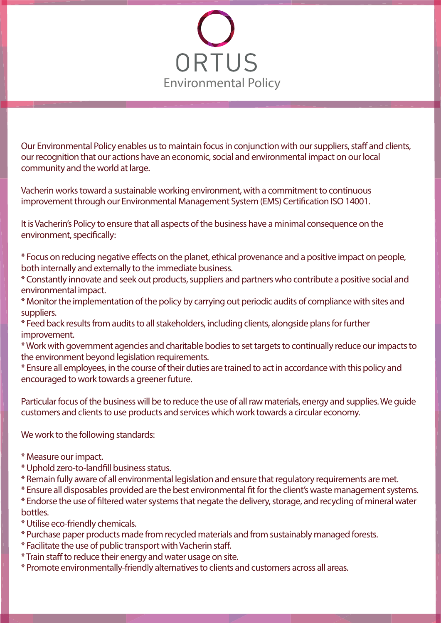

Our Environmental Policy enables us to maintain focus in conjunction with our suppliers, staff and clients, our recognition that our actions have an economic, social and environmental impact on our local community and the world at large.

Vacherin works toward a sustainable working environment, with a commitment to continuous improvement through our Environmental Management System (EMS) Certification ISO 14001.

It is Vacherin's Policy to ensure that all aspects of the business have a minimal consequence on the environment, specifically:

\* Focus on reducing negative effects on the planet, ethical provenance and a positive impact on people, both internally and externally to the immediate business.

\* Constantly innovate and seek out products, suppliers and partners who contribute a positive social and environmental impact.

\* Monitor the implementation of the policy by carrying out periodic audits of compliance with sites and suppliers.

\* Feed back results from audits to all stakeholders, including clients, alongside plans for further improvement.

\* Work with government agencies and charitable bodies to set targets to continually reduce our impacts to the environment beyond legislation requirements.

\* Ensure all employees, in the course of their duties are trained to act in accordance with this policy and encouraged to work towards a greener future.

Particular focus of the business will be to reduce the use of all raw materials, energy and supplies. We guide customers and clients to use products and services which work towards a circular economy.

## We work to the following standards:

- \* Measure our impact.
- \* Uphold zero-to-landll business status.
- \* Remain fully aware of all environmental legislation and ensure that regulatory requirements are met.

\* Ensure all disposables provided are the best environmental fit for the client's waste management systems.

\* Endorse the use of ltered water systems that negate the delivery, storage, and recycling of mineral water bottles.

- \* Utilise eco-friendly chemicals.
- \* Purchase paper products made from recycled materials and from sustainably managed forests.
- \* Facilitate the use of public transport with Vacherin staff.
- \* Train staff to reduce their energy and water usage on site.
- \* Promote environmentally-friendly alternatives to clients and customers across all areas.